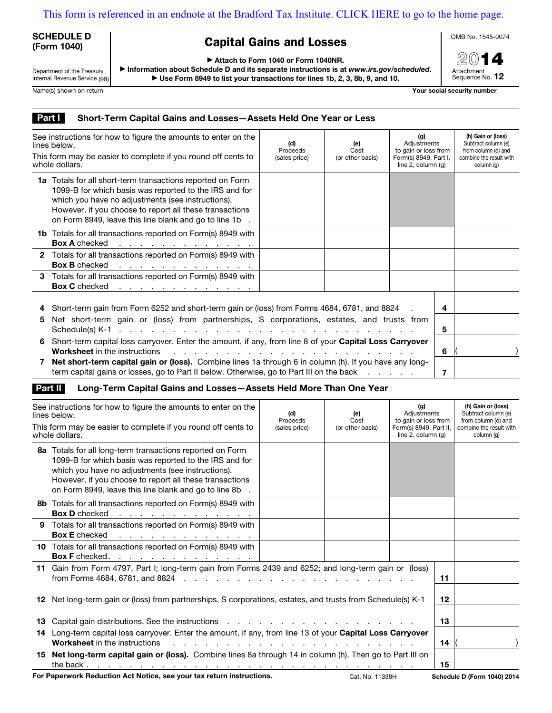## [This form is referenced in an endnote at the Bradford Tax Institute. CLICK HERE to go to the home page.](bradfordtaxinstitute.com)

### SCHEDULE D (Form 1040)

# Capital Gains and Losses

OMB No. 1545-0074

| Department of the Treasury    |  |
|-------------------------------|--|
| Internal Revenue Service (99) |  |

Attach to Form 1040 or Form 1040NR.

 $\blacktriangleright$  Information about Schedule D and its separate instructions is at www.irs.gov/scheduled. ▶ Use Form 8949 to list your transactions for lines 1b, 2, 3, 8b, 9, and 10.



Name(s) shown on return **Name(s)** shown on return **Your social security number** 

### Part I Short-Term Capital Gains and Losses-Assets Held One Year or Less

| See instructions for how to figure the amounts to enter on the<br>lines below.  |                                                                                                                                                                                                                                                                                                                 | (d)<br>Proceeds<br>(sales price) | (e)<br>Cost<br>(or other basis) | (g)<br>Adjustments<br>to gain or loss from<br>Form(s) 8949, Part I,<br>line $2$ , column $(q)$ |        | (h) Gain or (loss)<br>Subtract column (e)<br>from column (d) and<br>combine the result with<br>column (g) |
|---------------------------------------------------------------------------------|-----------------------------------------------------------------------------------------------------------------------------------------------------------------------------------------------------------------------------------------------------------------------------------------------------------------|----------------------------------|---------------------------------|------------------------------------------------------------------------------------------------|--------|-----------------------------------------------------------------------------------------------------------|
| This form may be easier to complete if you round off cents to<br>whole dollars. |                                                                                                                                                                                                                                                                                                                 |                                  |                                 |                                                                                                |        |                                                                                                           |
|                                                                                 | <b>1a</b> Totals for all short-term transactions reported on Form<br>1099-B for which basis was reported to the IRS and for<br>which you have no adjustments (see instructions).<br>However, if you choose to report all these transactions<br>on Form 8949, leave this line blank and go to line 1b            |                                  |                                 |                                                                                                |        |                                                                                                           |
|                                                                                 | <b>1b</b> Totals for all transactions reported on Form(s) 8949 with<br><b>Box A</b> checked<br>the contract of the contract of the contract of                                                                                                                                                                  |                                  |                                 |                                                                                                |        |                                                                                                           |
|                                                                                 | 2 Totals for all transactions reported on Form(s) 8949 with<br><b>Box B</b> checked<br>the contract of the contract of the contract of                                                                                                                                                                          |                                  |                                 |                                                                                                |        |                                                                                                           |
|                                                                                 | 3 Totals for all transactions reported on Form(s) 8949 with<br>Box C checked response to the contract of the contract of the contract of the contract of the contract of the contract of the contract of the contract of the contract of the contract of the contract of the contract of the                    |                                  |                                 |                                                                                                |        |                                                                                                           |
| 5                                                                               | Short-term gain from Form 6252 and short-term gain or (loss) from Forms 4684, 6781, and 8824<br>Net short-term gain or (loss) from partnerships, S corporations, estates, and trusts from<br>Schedule(s) K-1 $\ldots$ $\ldots$ $\ldots$ $\ldots$ $\ldots$ $\ldots$ $\ldots$ $\ldots$ $\ldots$ $\ldots$ $\ldots$ |                                  |                                 |                                                                                                |        |                                                                                                           |
| 6.                                                                              | Short-term capital loss carryover. Enter the amount, if any, from line 8 of your Capital Loss Carryover<br><b>Worksheet</b> in the instructions                                                                                                                                                                 |                                  |                                 |                                                                                                | 5<br>6 |                                                                                                           |
|                                                                                 | Net short-term capital gain or (loss). Combine lines 1a through 6 in column (h). If you have any long-<br>term capital gains or losses, go to Part II below. Otherwise, go to Part III on the back                                                                                                              |                                  | and the company of the          |                                                                                                | 7      |                                                                                                           |

#### **Part II** Long-Term Capital Gains and Losses-Assets Held More Than One Year

| See instructions for how to figure the amounts to enter on the<br>lines below.<br>This form may be easier to complete if you round off cents to<br>whole dollars.                                                                                                                             | (d)<br>Proceeds<br>(sales price)                                                                                | (e)<br>Cost<br>(or other basis) | (g)<br>Adjustments<br>to gain or loss from<br>Form(s) 8949, Part II,<br>line $2$ , column $(q)$ |    | (h) Gain or (loss)<br>Subtract column (e)<br>from column (d) and<br>combine the result with<br>column (q) |
|-----------------------------------------------------------------------------------------------------------------------------------------------------------------------------------------------------------------------------------------------------------------------------------------------|-----------------------------------------------------------------------------------------------------------------|---------------------------------|-------------------------------------------------------------------------------------------------|----|-----------------------------------------------------------------------------------------------------------|
| 8a Totals for all long-term transactions reported on Form<br>1099-B for which basis was reported to the IRS and for<br>which you have no adjustments (see instructions).<br>However, if you choose to report all these transactions<br>on Form 8949, leave this line blank and go to line 8b. |                                                                                                                 |                                 |                                                                                                 |    |                                                                                                           |
| 8b Totals for all transactions reported on Form(s) 8949 with<br><b>Box D</b> checked<br>the contract of the contract of the contract of the                                                                                                                                                   |                                                                                                                 |                                 |                                                                                                 |    |                                                                                                           |
| <b>9</b> Totals for all transactions reported on Form(s) 8949 with<br><b>Box E</b> checked<br>the contract of the contract of the contract of                                                                                                                                                 |                                                                                                                 |                                 |                                                                                                 |    |                                                                                                           |
| 10 Totals for all transactions reported on Form(s) 8949 with<br>Box F checked. <u>.</u>                                                                                                                                                                                                       |                                                                                                                 |                                 |                                                                                                 |    |                                                                                                           |
| 11 Gain from Form 4797, Part I; long-term gain from Forms 2439 and 6252; and long-term gain or (loss)                                                                                                                                                                                         |                                                                                                                 |                                 |                                                                                                 | 11 |                                                                                                           |
| 12 Net long-term gain or (loss) from partnerships, S corporations, estates, and trusts from Schedule(s) K-1                                                                                                                                                                                   |                                                                                                                 |                                 |                                                                                                 | 12 |                                                                                                           |
| 13 Capital gain distributions. See the instructions enter the contract of the capital scale of the capital of the instructions of the capital of the capital of the capital of the instruction of the capital of the capital o                                                                |                                                                                                                 |                                 |                                                                                                 | 13 |                                                                                                           |
| 14 Long-term capital loss carryover. Enter the amount, if any, from line 13 of your Capital Loss Carryover<br><b>Worksheet</b> in the instructions                                                                                                                                            | the contract of the contract of the contract of the contract of the contract of the contract of the contract of |                                 |                                                                                                 | 14 |                                                                                                           |
| 15 Net long-term capital gain or (loss). Combine lines 8a through 14 in column (h). Then go to Part III on                                                                                                                                                                                    |                                                                                                                 |                                 |                                                                                                 | 15 |                                                                                                           |